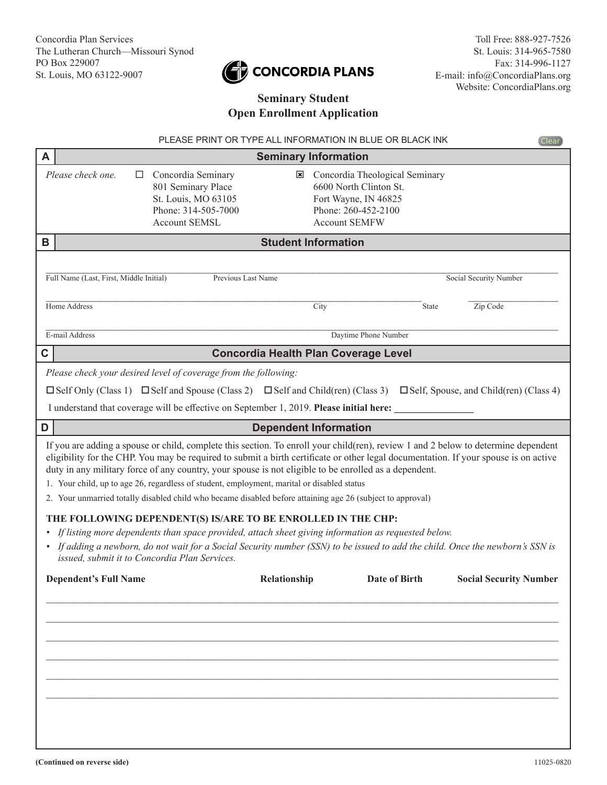# CONCORDIA PLANS

## **Seminary Student Open Enrollment Application**

|   |                                                                                                                                                                                                                                                                                                                                                                                                                                                                                                                                                                                                                                                                                                                                                                                                                                                                                          | PLEASE PRINT OR TYPE ALL INFORMATION IN BLUE OR BLACK INK |                                                                                                                                 | <b>Clear</b>                       |  |  |
|---|------------------------------------------------------------------------------------------------------------------------------------------------------------------------------------------------------------------------------------------------------------------------------------------------------------------------------------------------------------------------------------------------------------------------------------------------------------------------------------------------------------------------------------------------------------------------------------------------------------------------------------------------------------------------------------------------------------------------------------------------------------------------------------------------------------------------------------------------------------------------------------------|-----------------------------------------------------------|---------------------------------------------------------------------------------------------------------------------------------|------------------------------------|--|--|
| A | <b>Seminary Information</b>                                                                                                                                                                                                                                                                                                                                                                                                                                                                                                                                                                                                                                                                                                                                                                                                                                                              |                                                           |                                                                                                                                 |                                    |  |  |
|   | Please check one.<br>Concordia Seminary<br>ப<br>801 Seminary Place<br>St. Louis, MO 63105<br>Phone: 314-505-7000<br><b>Account SEMSL</b>                                                                                                                                                                                                                                                                                                                                                                                                                                                                                                                                                                                                                                                                                                                                                 | ⊠                                                         | Concordia Theological Seminary<br>6600 North Clinton St.<br>Fort Wayne, IN 46825<br>Phone: 260-452-2100<br><b>Account SEMFW</b> |                                    |  |  |
| B | <b>Student Information</b>                                                                                                                                                                                                                                                                                                                                                                                                                                                                                                                                                                                                                                                                                                                                                                                                                                                               |                                                           |                                                                                                                                 |                                    |  |  |
|   | Full Name (Last, First, Middle Initial)<br>Home Address                                                                                                                                                                                                                                                                                                                                                                                                                                                                                                                                                                                                                                                                                                                                                                                                                                  | Previous Last Name<br>City                                | State                                                                                                                           | Social Security Number<br>Zip Code |  |  |
|   | E-mail Address                                                                                                                                                                                                                                                                                                                                                                                                                                                                                                                                                                                                                                                                                                                                                                                                                                                                           |                                                           | Daytime Phone Number                                                                                                            |                                    |  |  |
| C |                                                                                                                                                                                                                                                                                                                                                                                                                                                                                                                                                                                                                                                                                                                                                                                                                                                                                          | <b>Concordia Health Plan Coverage Level</b>               |                                                                                                                                 |                                    |  |  |
|   | $\square$ Self Only (Class 1) $\square$ Self and Spouse (Class 2) $\square$ Self and Child(ren) (Class 3) $\square$ Self, Spouse, and Child(ren) (Class 4)<br>I understand that coverage will be effective on September 1, 2019. Please initial here:<br><b>Dependent Information</b><br>If you are adding a spouse or child, complete this section. To enroll your child(ren), review 1 and 2 below to determine dependent<br>eligibility for the CHP. You may be required to submit a birth certificate or other legal documentation. If your spouse is on active<br>duty in any military force of any country, your spouse is not eligible to be enrolled as a dependent.<br>1. Your child, up to age 26, regardless of student, employment, marital or disabled status<br>2. Your unmarried totally disabled child who became disabled before attaining age 26 (subject to approval) |                                                           |                                                                                                                                 |                                    |  |  |
|   |                                                                                                                                                                                                                                                                                                                                                                                                                                                                                                                                                                                                                                                                                                                                                                                                                                                                                          |                                                           |                                                                                                                                 |                                    |  |  |
|   | THE FOLLOWING DEPENDENT(S) IS/ARE TO BE ENROLLED IN THE CHP:<br>• If listing more dependents than space provided, attach sheet giving information as requested below.<br>• If adding a newborn, do not wait for a Social Security number (SSN) to be issued to add the child. Once the newborn's SSN is<br>issued, submit it to Concordia Plan Services.                                                                                                                                                                                                                                                                                                                                                                                                                                                                                                                                 |                                                           |                                                                                                                                 |                                    |  |  |
| D | <b>Dependent's Full Name</b>                                                                                                                                                                                                                                                                                                                                                                                                                                                                                                                                                                                                                                                                                                                                                                                                                                                             | Relationship                                              | <b>Date of Birth</b>                                                                                                            | <b>Social Security Number</b>      |  |  |